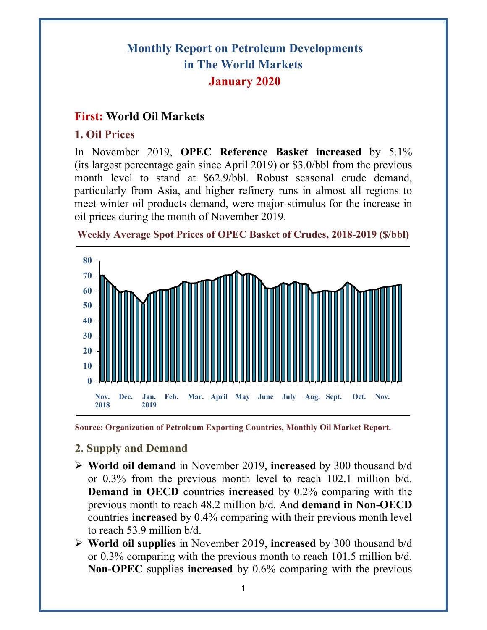# **Monthly Report on Petroleum Developments in The World Markets January 2020**

### **First: World Oil Markets**

#### **1. Oil Prices**

In November 2019, **OPEC Reference Basket increased** by 5.1% (its largest percentage gain since April 2019) or \$3.0/bbl from the previous month level to stand at \$62.9/bbl. Robust seasonal crude demand, particularly from Asia, and higher refinery runs in almost all regions to meet winter oil products demand, were major stimulus for the increase in oil prices during the month of November 2019.



**Weekly Average Spot Prices of OPEC Basket of Crudes, 2018-2019 (\$/bbl)**

## **2. Supply and Demand**

- **World oil demand** in November 2019, **increased** by 300 thousand b/d or 0.3% from the previous month level to reach 102.1 million b/d. **Demand in OECD** countries **increased** by 0.2% comparing with the previous month to reach 48.2 million b/d. And **demand in Non-OECD** countries **increased** by 0.4% comparing with their previous month level to reach 53.9 million b/d.
- **World oil supplies** in November 2019, **increased** by 300 thousand b/d or 0.3% comparing with the previous month to reach 101.5 million b/d. **Non-OPEC** supplies **increased** by 0.6% comparing with the previous

**Source: Organization of Petroleum Exporting Countries, Monthly Oil Market Report.**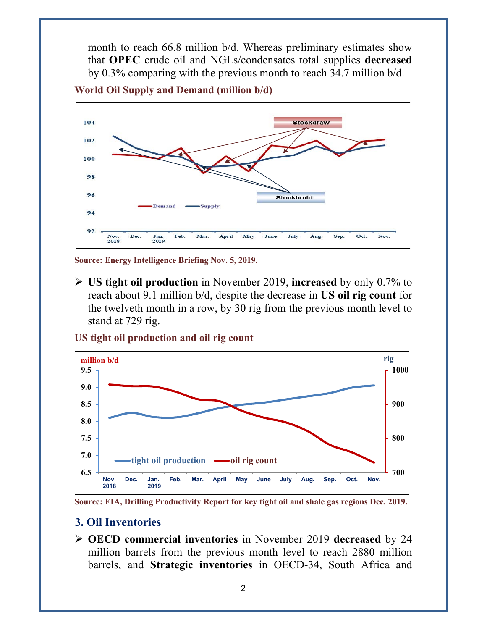month to reach 66.8 million b/d. Whereas preliminary estimates show that **OPEC** crude oil and NGLs/condensates total supplies **decreased** by 0.3% comparing with the previous month to reach 34.7 million b/d.



**World Oil Supply and Demand (million b/d)** 

**Source: Energy Intelligence Briefing Nov. 5, 2019.** 

 **US tight oil production** in November 2019, **increased** by only 0.7% to reach about 9.1 million b/d, despite the decrease in **US oil rig count** for the twelveth month in a row, by 30 rig from the previous month level to stand at 729 rig.



**US tight oil production and oil rig count** 

#### **3. Oil Inventories**

 **OECD commercial inventories** in November 2019 **decreased** by 24 million barrels from the previous month level to reach 2880 million barrels, and **Strategic inventories** in OECD-34, South Africa and

**Source: EIA, Drilling Productivity Report for key tight oil and shale gas regions Dec. 2019.**